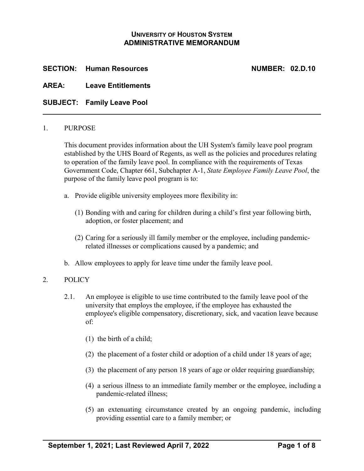## **UNIVERSITY OF HOUSTON SYSTEM ADMINISTRATIVE MEMORANDUM**

**SECTION: Human Resources NUMBER: 02.D.10**

**AREA: Leave Entitlements**

**SUBJECT: Family Leave Pool**

#### 1. PURPOSE

This document provides information about the UH System's family leave pool program established by the UHS Board of Regents, as well as the policies and procedures relating to operation of the family leave pool. In compliance with the requirements of Texas Government Code, Chapter 661, Subchapter A-1, *State Employee Family Leave Pool*, the purpose of the family leave pool program is to:

- a. Provide eligible university employees more flexibility in:
	- (1) Bonding with and caring for children during a child's first year following birth, adoption, or foster placement; and
	- (2) Caring for a seriously ill family member or the employee, including pandemicrelated illnesses or complications caused by a pandemic; and
- b. Allow employees to apply for leave time under the family leave pool.

#### 2. POLICY

- 2.1. An employee is eligible to use time contributed to the family leave pool of the university that employs the employee, if the employee has exhausted the employee's eligible compensatory, discretionary, sick, and vacation leave because of:
	- (1) the birth of a child;
	- (2) the placement of a foster child or adoption of a child under 18 years of age;
	- (3) the placement of any person 18 years of age or older requiring guardianship;
	- (4) a serious illness to an immediate family member or the employee, including a pandemic-related illness;
	- (5) an extenuating circumstance created by an ongoing pandemic, including providing essential care to a family member; or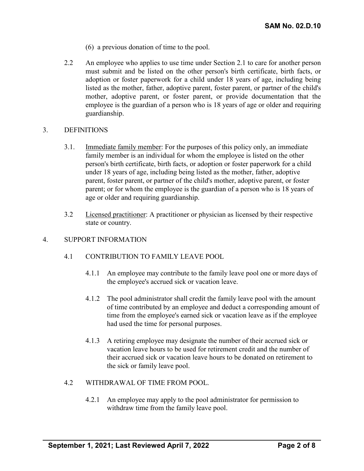- (6) a previous donation of time to the pool.
- 2.2 An employee who applies to use time under Section 2.1 to care for another person must submit and be listed on the other person's birth certificate, birth facts, or adoption or foster paperwork for a child under 18 years of age, including being listed as the mother, father, adoptive parent, foster parent, or partner of the child's mother, adoptive parent, or foster parent, or provide documentation that the employee is the guardian of a person who is 18 years of age or older and requiring guardianship.

#### 3. DEFINITIONS

- 3.1. Immediate family member: For the purposes of this policy only, an immediate family member is an individual for whom the employee is listed on the other person's birth certificate, birth facts, or adoption or foster paperwork for a child under 18 years of age, including being listed as the mother, father, adoptive parent, foster parent, or partner of the child's mother, adoptive parent, or foster parent; or for whom the employee is the guardian of a person who is 18 years of age or older and requiring guardianship.
- 3.2 Licensed practitioner: A practitioner or physician as licensed by their respective state or country.

### 4. SUPPORT INFORMATION

- 4.1 CONTRIBUTION TO FAMILY LEAVE POOL
	- 4.1.1 An employee may contribute to the family leave pool one or more days of the employee's accrued sick or vacation leave.
	- 4.1.2 The pool administrator shall credit the family leave pool with the amount of time contributed by an employee and deduct a corresponding amount of time from the employee's earned sick or vacation leave as if the employee had used the time for personal purposes.
	- 4.1.3 A retiring employee may designate the number of their accrued sick or vacation leave hours to be used for retirement credit and the number of their accrued sick or vacation leave hours to be donated on retirement to the sick or family leave pool.

## 4.2 WITHDRAWAL OF TIME FROM POOL.

4.2.1 An employee may apply to the pool administrator for permission to withdraw time from the family leave pool.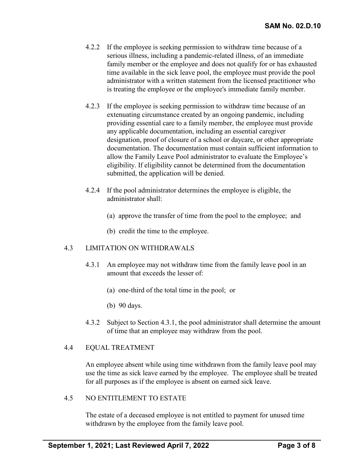- 4.2.2 If the employee is seeking permission to withdraw time because of a serious illness, including a pandemic-related illness, of an immediate family member or the employee and does not qualify for or has exhausted time available in the sick leave pool, the employee must provide the pool administrator with a written statement from the licensed practitioner who is treating the employee or the employee's immediate family member.
- 4.2.3 If the employee is seeking permission to withdraw time because of an extenuating circumstance created by an ongoing pandemic, including providing essential care to a family member, the employee must provide any applicable documentation, including an essential caregiver designation, proof of closure of a school or daycare, or other appropriate documentation. The documentation must contain sufficient information to allow the Family Leave Pool administrator to evaluate the Employee's eligibility. If eligibility cannot be determined from the documentation submitted, the application will be denied.
- 4.2.4 If the pool administrator determines the employee is eligible, the administrator shall:
	- (a) approve the transfer of time from the pool to the employee; and
	- (b) credit the time to the employee.

## 4.3 LIMITATION ON WITHDRAWALS

- 4.3.1 An employee may not withdraw time from the family leave pool in an amount that exceeds the lesser of:
	- (a) one-third of the total time in the pool; or
	- (b) 90 days.
- 4.3.2 Subject to Section 4.3.1, the pool administrator shall determine the amount of time that an employee may withdraw from the pool.

## 4.4 EQUAL TREATMENT

An employee absent while using time withdrawn from the family leave pool may use the time as sick leave earned by the employee. The employee shall be treated for all purposes as if the employee is absent on earned sick leave.

#### 4.5 NO ENTITLEMENT TO ESTATE

The estate of a deceased employee is not entitled to payment for unused time withdrawn by the employee from the family leave pool.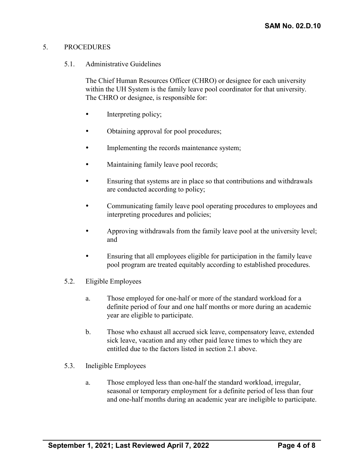#### 5. PROCEDURES

#### 5.1. Administrative Guidelines

The Chief Human Resources Officer (CHRO) or designee for each university within the UH System is the family leave pool coordinator for that university. The CHRO or designee, is responsible for:

- Interpreting policy;
- Obtaining approval for pool procedures;
- Implementing the records maintenance system;
- Maintaining family leave pool records;
- Ensuring that systems are in place so that contributions and withdrawals are conducted according to policy;
- Communicating family leave pool operating procedures to employees and interpreting procedures and policies;
- Approving withdrawals from the family leave pool at the university level; and
- Ensuring that all employees eligible for participation in the family leave pool program are treated equitably according to established procedures.
- 5.2. Eligible Employees
	- a. Those employed for one-half or more of the standard workload for a definite period of four and one half months or more during an academic year are eligible to participate.
	- b. Those who exhaust all accrued sick leave, compensatory leave, extended sick leave, vacation and any other paid leave times to which they are entitled due to the factors listed in section 2.1 above.
- 5.3. Ineligible Employees
	- a. Those employed less than one-half the standard workload, irregular, seasonal or temporary employment for a definite period of less than four and one-half months during an academic year are ineligible to participate.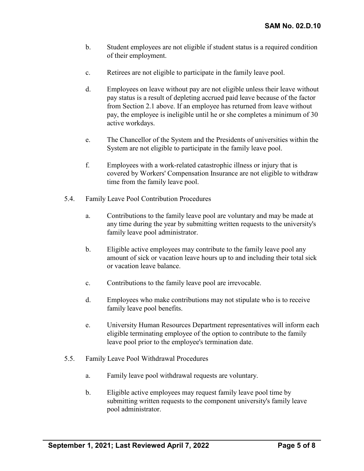- b. Student employees are not eligible if student status is a required condition of their employment.
- c. Retirees are not eligible to participate in the family leave pool.
- d. Employees on leave without pay are not eligible unless their leave without pay status is a result of depleting accrued paid leave because of the factor from Section 2.1 above. If an employee has returned from leave without pay, the employee is ineligible until he or she completes a minimum of 30 active workdays.
- e. The Chancellor of the System and the Presidents of universities within the System are not eligible to participate in the family leave pool.
- f. Employees with a work-related catastrophic illness or injury that is covered by Workers' Compensation Insurance are not eligible to withdraw time from the family leave pool.
- 5.4. Family Leave Pool Contribution Procedures
	- a. Contributions to the family leave pool are voluntary and may be made at any time during the year by submitting written requests to the university's family leave pool administrator.
	- b. Eligible active employees may contribute to the family leave pool any amount of sick or vacation leave hours up to and including their total sick or vacation leave balance.
	- c. Contributions to the family leave pool are irrevocable.
	- d. Employees who make contributions may not stipulate who is to receive family leave pool benefits.
	- e. University Human Resources Department representatives will inform each eligible terminating employee of the option to contribute to the family leave pool prior to the employee's termination date.
- 5.5. Family Leave Pool Withdrawal Procedures
	- a. Family leave pool withdrawal requests are voluntary.
	- b. Eligible active employees may request family leave pool time by submitting written requests to the component university's family leave pool administrator.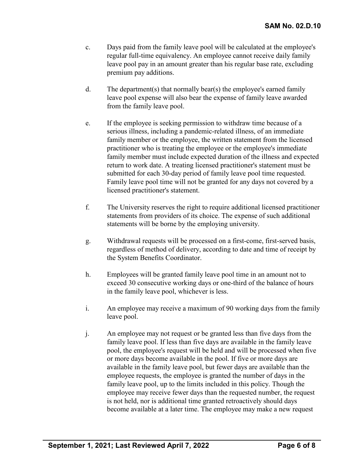- c. Days paid from the family leave pool will be calculated at the employee's regular full-time equivalency. An employee cannot receive daily family leave pool pay in an amount greater than his regular base rate, excluding premium pay additions.
- d. The department(s) that normally bear(s) the employee's earned family leave pool expense will also bear the expense of family leave awarded from the family leave pool.
- e. If the employee is seeking permission to withdraw time because of a serious illness, including a pandemic-related illness, of an immediate family member or the employee, the written statement from the licensed practitioner who is treating the employee or the employee's immediate family member must include expected duration of the illness and expected return to work date. A treating licensed practitioner's statement must be submitted for each 30-day period of family leave pool time requested. Family leave pool time will not be granted for any days not covered by a licensed practitioner's statement.
- f. The University reserves the right to require additional licensed practitioner statements from providers of its choice. The expense of such additional statements will be borne by the employing university.
- g. Withdrawal requests will be processed on a first-come, first-served basis, regardless of method of delivery, according to date and time of receipt by the System Benefits Coordinator.
- h. Employees will be granted family leave pool time in an amount not to exceed 30 consecutive working days or one-third of the balance of hours in the family leave pool, whichever is less.
- i. An employee may receive a maximum of 90 working days from the family leave pool.
- j. An employee may not request or be granted less than five days from the family leave pool. If less than five days are available in the family leave pool, the employee's request will be held and will be processed when five or more days become available in the pool. If five or more days are available in the family leave pool, but fewer days are available than the employee requests, the employee is granted the number of days in the family leave pool, up to the limits included in this policy. Though the employee may receive fewer days than the requested number, the request is not held, nor is additional time granted retroactively should days become available at a later time. The employee may make a new request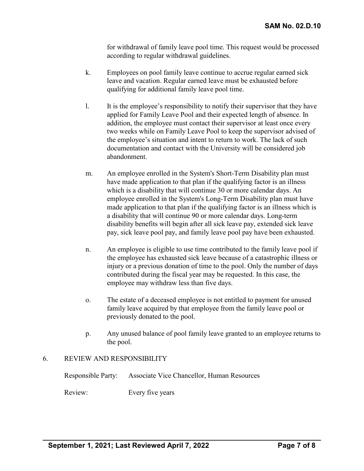for withdrawal of family leave pool time. This request would be processed according to regular withdrawal guidelines.

- k. Employees on pool family leave continue to accrue regular earned sick leave and vacation. Regular earned leave must be exhausted before qualifying for additional family leave pool time.
- l. It is the employee's responsibility to notify their supervisor that they have applied for Family Leave Pool and their expected length of absence. In addition, the employee must contact their supervisor at least once every two weeks while on Family Leave Pool to keep the supervisor advised of the employee's situation and intent to return to work. The lack of such documentation and contact with the University will be considered job abandonment.
- m. An employee enrolled in the System's Short-Term Disability plan must have made application to that plan if the qualifying factor is an illness which is a disability that will continue 30 or more calendar days. An employee enrolled in the System's Long-Term Disability plan must have made application to that plan if the qualifying factor is an illness which is a disability that will continue 90 or more calendar days. Long-term disability benefits will begin after all sick leave pay, extended sick leave pay, sick leave pool pay, and family leave pool pay have been exhausted.
- n. An employee is eligible to use time contributed to the family leave pool if the employee has exhausted sick leave because of a catastrophic illness or injury or a previous donation of time to the pool. Only the number of days contributed during the fiscal year may be requested. In this case, the employee may withdraw less than five days.
- o. The estate of a deceased employee is not entitled to payment for unused family leave acquired by that employee from the family leave pool or previously donated to the pool.
- p. Any unused balance of pool family leave granted to an employee returns to the pool.

## 6. REVIEW AND RESPONSIBILITY

|         | Responsible Party: Associate Vice Chancellor, Human Resources |
|---------|---------------------------------------------------------------|
| Review: | Every five years                                              |